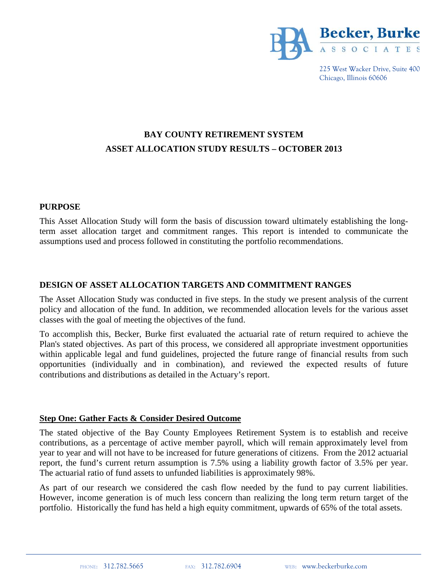

225 West Wacker Drive, Suite 400 Chicago, Illinois 60606

# **BAY COUNTY RETIREMENT SYSTEM ASSET ALLOCATION STUDY RESULTS – OCTOBER 2013**

#### **PURPOSE**

This Asset Allocation Study will form the basis of discussion toward ultimately establishing the longterm asset allocation target and commitment ranges. This report is intended to communicate the assumptions used and process followed in constituting the portfolio recommendations.

## **DESIGN OF ASSET ALLOCATION TARGETS AND COMMITMENT RANGES**

The Asset Allocation Study was conducted in five steps. In the study we present analysis of the current policy and allocation of the fund. In addition, we recommended allocation levels for the various asset classes with the goal of meeting the objectives of the fund.

To accomplish this, Becker, Burke first evaluated the actuarial rate of return required to achieve the Plan's stated objectives. As part of this process, we considered all appropriate investment opportunities within applicable legal and fund guidelines, projected the future range of financial results from such opportunities (individually and in combination), and reviewed the expected results of future contributions and distributions as detailed in the Actuary's report.

#### **Step One: Gather Facts & Consider Desired Outcome**

The stated objective of the Bay County Employees Retirement System is to establish and receive contributions, as a percentage of active member payroll, which will remain approximately level from year to year and will not have to be increased for future generations of citizens. From the 2012 actuarial report, the fund's current return assumption is 7.5% using a liability growth factor of 3.5% per year. The actuarial ratio of fund assets to unfunded liabilities is approximately 98%.

As part of our research we considered the cash flow needed by the fund to pay current liabilities. However, income generation is of much less concern than realizing the long term return target of the portfolio. Historically the fund has held a high equity commitment, upwards of 65% of the total assets.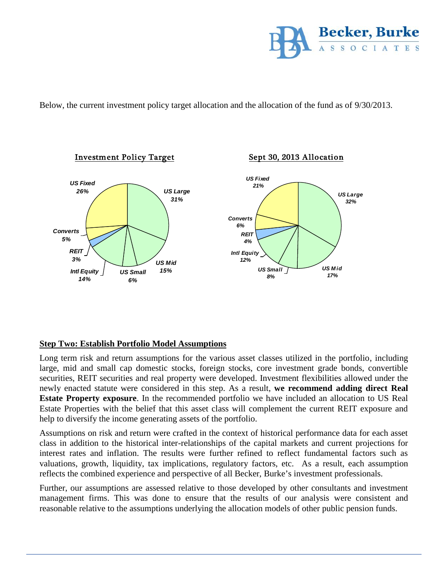

Below, the current investment policy target allocation and the allocation of the fund as of 9/30/2013.



## **Step Two: Establish Portfolio Model Assumptions**

Long term risk and return assumptions for the various asset classes utilized in the portfolio, including large, mid and small cap domestic stocks, foreign stocks, core investment grade bonds, convertible securities, REIT securities and real property were developed. Investment flexibilities allowed under the newly enacted statute were considered in this step. As a result, **we recommend adding direct Real Estate Property exposure**. In the recommended portfolio we have included an allocation to US Real Estate Properties with the belief that this asset class will complement the current REIT exposure and help to diversify the income generating assets of the portfolio.

Assumptions on risk and return were crafted in the context of historical performance data for each asset class in addition to the historical inter-relationships of the capital markets and current projections for interest rates and inflation. The results were further refined to reflect fundamental factors such as valuations, growth, liquidity, tax implications, regulatory factors, etc. As a result, each assumption reflects the combined experience and perspective of all Becker, Burke's investment professionals.

Further, our assumptions are assessed relative to those developed by other consultants and investment management firms. This was done to ensure that the results of our analysis were consistent and reasonable relative to the assumptions underlying the allocation models of other public pension funds.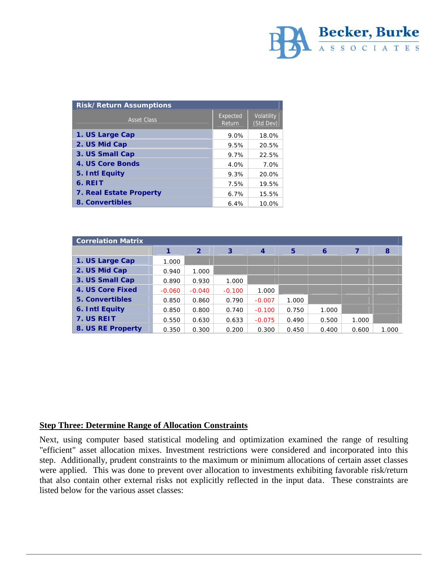

| Risk/Return Assumptions |                    |                         |  |  |
|-------------------------|--------------------|-------------------------|--|--|
| <b>Asset Class</b>      | Expected<br>Return | Volatility<br>(Std Dev) |  |  |
| 1. US Large Cap         | 9.0%               | 18.0%                   |  |  |
| 2. US Mid Cap           | 9.5%               | 20.5%                   |  |  |
| 3. US Small Cap         | 9.7%               | 22.5%                   |  |  |
| 4. US Core Bonds        | 4.0%               | 7.0%                    |  |  |
| 5. Intl Equity          | 9.3%               | 20.0%                   |  |  |
| 6. REIT                 | 7.5%               | 19.5%                   |  |  |
| 7. Real Estate Property | 6.7%               | 15.5%                   |  |  |
| 8. Convertibles         | 6.4%               | 10.0%                   |  |  |

| <b>Correlation Matrix</b> |          |                |          |                |       |       |       |       |
|---------------------------|----------|----------------|----------|----------------|-------|-------|-------|-------|
|                           |          | $\overline{2}$ | 3        | $\overline{4}$ | 5     | 6     |       | 8     |
| 1. US Large Cap           | 1.000    |                |          |                |       |       |       |       |
| 2. US Mid Cap             | 0.940    | 1.000          |          |                |       |       |       |       |
| 3. US Small Cap           | 0.890    | 0.930          | 1.000    |                |       |       |       |       |
| 4. US Core Fixed          | $-0.060$ | $-0.040$       | $-0.100$ | 1.000          |       |       |       |       |
| 5. Convertibles           | 0.850    | 0.860          | 0.790    | $-0.007$       | 1.000 |       |       |       |
| 6. Intl Equity            | 0.850    | 0.800          | 0.740    | $-0.100$       | 0.750 | 1.000 |       |       |
| 7. US REIT                | 0.550    | 0.630          | 0.633    | $-0.075$       | 0.490 | 0.500 | 1.000 |       |
| 8. US RE Property         | 0.350    | 0.300          | 0.200    | 0.300          | 0.450 | 0.400 | 0.600 | 1.000 |

#### **Step Three: Determine Range of Allocation Constraints**

Next, using computer based statistical modeling and optimization examined the range of resulting "efficient" asset allocation mixes. Investment restrictions were considered and incorporated into this step. Additionally, prudent constraints to the maximum or minimum allocations of certain asset classes were applied. This was done to prevent over allocation to investments exhibiting favorable risk/return that also contain other external risks not explicitly reflected in the input data. These constraints are listed below for the various asset classes: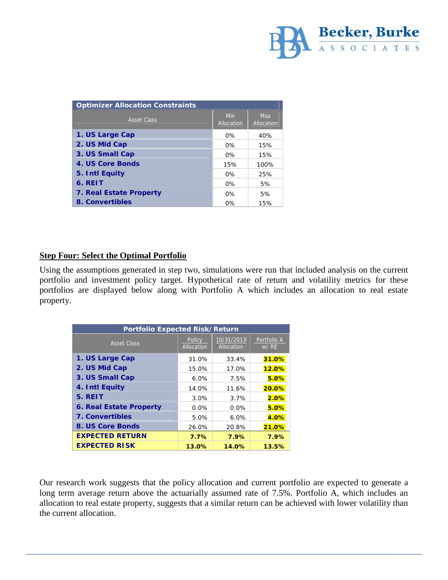

| <b>Optimizer Allocation Constraints</b> |                   |                          |  |
|-----------------------------------------|-------------------|--------------------------|--|
| <b>Asset Class</b>                      | Min<br>Allocation | <b>Max</b><br>Allocation |  |
| 1. US Large Cap                         | $0\%$             | 40%                      |  |
| 2. US Mid Cap                           | $0\%$             | 15%                      |  |
| 3. US Small Cap                         | $0\%$             | 15%                      |  |
| 4. US Core Bonds                        | 15%               | 100%                     |  |
| 5. Intl Equity                          | $0\%$             | 25%                      |  |
| 6. REIT                                 | 0%                | 5%                       |  |
| 7. Real Estate Property                 | $0\%$             | 5%                       |  |
| 8. Convertibles                         | $0\%$             | 15%                      |  |

## **Step Four: Select the Optimal Portfolio**

Using the assumptions generated in step two, simulations were run that included analysis on the current portfolio and investment policy target. Hypothetical rate of return and volatility metrics for these portfolios are displayed below along with Portfolio A which includes an allocation to real estate property.

| Portfolio Expected Risk/Return |                      |                          |                     |  |  |  |
|--------------------------------|----------------------|--------------------------|---------------------|--|--|--|
| <b>Asset Class</b>             | Policy<br>Allocation | 10/31/2013<br>Allocation | Portfolio A<br>W/RE |  |  |  |
| 1. US Large Cap                | 31.0%                | 33.4%                    | 31.0%               |  |  |  |
| 2. US Mid Cap                  | 15.0%                | 17.0%                    | 12.0%               |  |  |  |
| 3. US Small Cap                | 6.0%                 | 7.5%                     | 5.0%                |  |  |  |
| 4. Intl Equity                 | 14.0%                | 11.6%                    | 20.0%               |  |  |  |
| 5. REIT                        | 3.0%                 | $3.7\%$                  | 2.0%                |  |  |  |
| 6. Real Estate Property        | $0.0\%$              | $0.0\%$                  | 5.0%                |  |  |  |
| 7. Convertibles                | 5.0%                 | $6.0\%$                  | 4.0%                |  |  |  |
| 8. US Core Bonds               | 26.0%                | 20.8%                    | 21.0%               |  |  |  |
| <b>EXPECTED RETURN</b>         | $7.7\%$              | 7.9%                     | 7.9%                |  |  |  |
| <b>EXPECTED RISK</b>           | 13.0%                | 14.0%                    | 13.5%               |  |  |  |

Our research work suggests that the policy allocation and current portfolio are expected to generate a long term average return above the actuarially assumed rate of 7.5%. Portfolio A, which includes an allocation to real estate property, suggests that a similar return can be achieved with lower volatility than the current allocation.